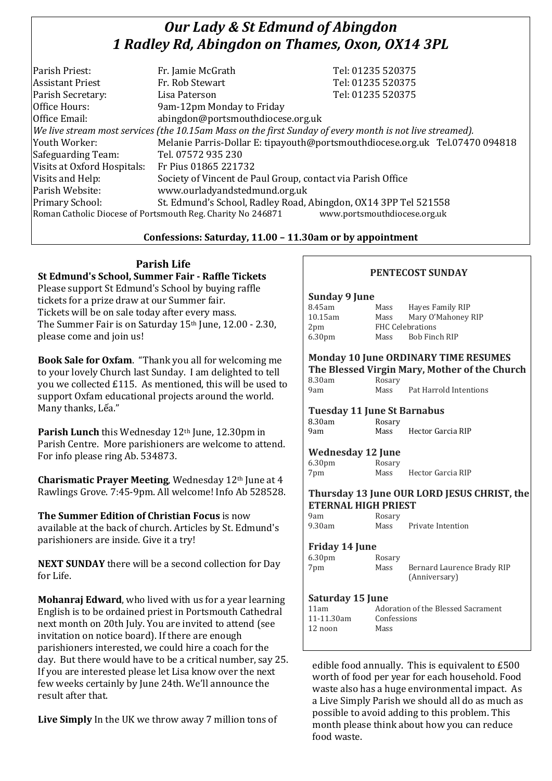# *Our Lady & St Edmund of Abingdon 1 Radley Rd, Abingdon on Thames, Oxon, OX14 3PL*

| Parish Priest:              | Fr. Jamie McGrath                                                                                        | Tel: 01235 520375                                                            |
|-----------------------------|----------------------------------------------------------------------------------------------------------|------------------------------------------------------------------------------|
| <b>Assistant Priest</b>     | Fr. Rob Stewart                                                                                          | Tel: 01235 520375                                                            |
| Parish Secretary:           | Lisa Paterson                                                                                            | Tel: 01235 520375                                                            |
| Office Hours:               | 9am-12pm Monday to Friday                                                                                |                                                                              |
| Office Email:               | abingdon@portsmouthdiocese.org.uk                                                                        |                                                                              |
|                             | We live stream most services (the 10.15am Mass on the first Sunday of every month is not live streamed). |                                                                              |
| Youth Worker:               |                                                                                                          | Melanie Parris-Dollar E: tipayouth@portsmouthdiocese.org.uk Tel.07470 094818 |
| Safeguarding Team:          | Tel. 07572 935 230                                                                                       |                                                                              |
| Visits at Oxford Hospitals: | Fr Pius 01865 221732                                                                                     |                                                                              |
| Visits and Help:            | Society of Vincent de Paul Group, contact via Parish Office                                              |                                                                              |
| Parish Website:             | www.ourladyandstedmund.org.uk                                                                            |                                                                              |
| Primary School:             | St. Edmund's School, Radley Road, Abingdon, OX14 3PP Tel 521558                                          |                                                                              |
|                             | Roman Catholic Diocese of Portsmouth Reg. Charity No 246871                                              | www.portsmouthdiocese.org.uk                                                 |

## **Confessions: Saturday, 11.00 – 11.30am or by appointment**

# **Parish Life**

**St Edmund's School, Summer Fair - Raffle Tickets** Please support St Edmund's School by buying raffle tickets for a prize draw at our Summer fair. Tickets will be on sale today after every mass. The Summer Fair is on Saturday 15<sup>th</sup> June, 12.00 - 2.30, please come and join us!

**Book Sale for Oxfam**. "Thank you all for welcoming me to your lovely Church last Sunday. I am delighted to tell you we collected £115. As mentioned, this will be used to support Oxfam educational projects around the world. Many thanks, Lếa."

**Parish Lunch** this Wednesday 12<sup>th</sup> June, 12.30pm in Parish Centre. More parishioners are welcome to attend. For info please ring Ab. 534873.

**Charismatic Prayer Meeting, Wednesday 12th June at 4** Rawlings Grove. 7:45-9pm. All welcome! Info Ab 528528.

**The Summer Edition of Christian Focus** is now available at the back of church. Articles by St. Edmund's parishioners are inside. Give it a try!

**NEXT SUNDAY** there will be a second collection for Day for Life.

**Mohanraj Edward**, who lived with us for a year learning English is to be ordained priest in Portsmouth Cathedral next month on 20th July. You are invited to attend (see invitation on notice board). If there are enough parishioners interested, we could hire a coach for the day. But there would have to be a critical number, say 25. If you are interested please let Lisa know over the next few weeks certainly by June 24th. We'll announce the result after that.

**Live Simply** In the UK we throw away 7 million tons of

# **PENTECOST SUNDAY**

#### **Sunday 9 June**

| 8.45am             | Mass                    | Hayes Family RIP   |
|--------------------|-------------------------|--------------------|
| 10.15am            | Mass                    | Mary O'Mahoney RIP |
| 2 <sub>pm</sub>    | <b>FHC Celebrations</b> |                    |
| 6.30 <sub>pm</sub> | Mass                    | Bob Finch RIP      |

#### **Monday 10 June ORDINARY TIME RESUMES The Blessed Virgin Mary, Mother of the Church**

|        |        | $\frac{1}{100}$ brood $\frac{1}{100}$ in $\frac{1}{100}$ in $\frac{1}{100}$ in $\frac{1}{100}$ |
|--------|--------|------------------------------------------------------------------------------------------------|
| 8.30am | Rosary |                                                                                                |
| 9am    | Mass   | Pat Harrold Intentions                                                                         |

## **Tuesday 11 June St Barnabus**

| .      | .      |                   |
|--------|--------|-------------------|
| 8.30am | Rosary |                   |
| 9am    | Mass   | Hector Garcia RIP |

**Wednesday 12 June**

| 6.30 <sub>pm</sub> | Rosary |                   |
|--------------------|--------|-------------------|
| 7pm                | Mass   | Hector Garcia RIP |

#### **Thursday 13 June OUR LORD JESUS CHRIST, the ETERNAL HIGH PRIEST**

| 9am    | Rosary |                   |  |
|--------|--------|-------------------|--|
| 9.30am | Mass   | Private Intention |  |

## **Friday 14 June**

| 6.30pm | Rosary |                            |
|--------|--------|----------------------------|
| 7pm    | Mass   | Bernard Laurence Brady RIP |
|        |        | (Anniversary)              |

## **Saturday 15 June**

| 11am       | Adoration of the Blessed Sacrament |
|------------|------------------------------------|
| 11-11.30am | Confessions                        |
| 12 noon    | Mass                               |
|            |                                    |

edible food annually. This is equivalent to £500 worth of food per year for each household. Food waste also has a huge environmental impact. As a Live Simply Parish we should all do as much as possible to avoid adding to this problem. This month please think about how you can reduce food waste.